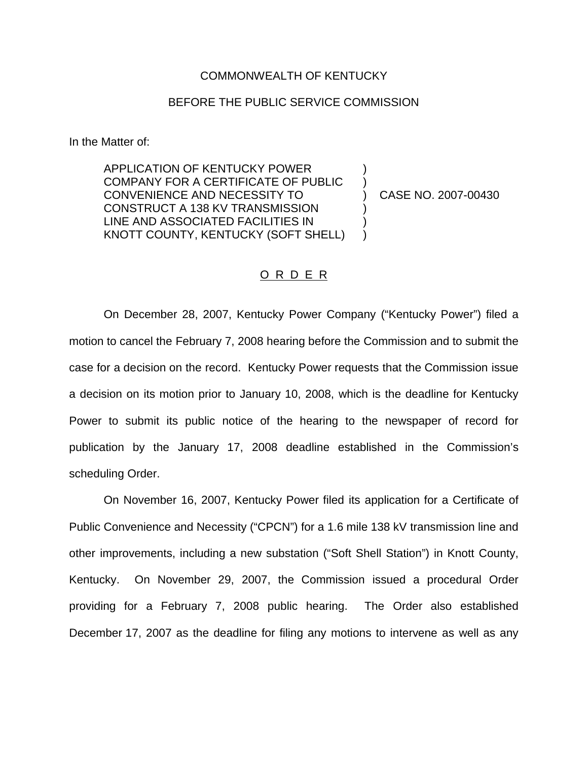#### COMMONWEALTH OF KENTUCKY

### BEFORE THE PUBLIC SERVICE COMMISSION

In the Matter of:

APPLICATION OF KENTUCKY POWER COMPANY FOR A CERTIFICATE OF PUBLIC ) CONVENIENCE AND NECESSITY TO ) CASE NO. 2007-00430 CONSTRUCT A 138 KV TRANSMISSION ) LINE AND ASSOCIATED FACILITIES IN ) KNOTT COUNTY, KENTUCKY (SOFT SHELL) )

#### O R D E R

On December 28, 2007, Kentucky Power Company ("Kentucky Power") filed a motion to cancel the February 7, 2008 hearing before the Commission and to submit the case for a decision on the record. Kentucky Power requests that the Commission issue a decision on its motion prior to January 10, 2008, which is the deadline for Kentucky Power to submit its public notice of the hearing to the newspaper of record for publication by the January 17, 2008 deadline established in the Commission's scheduling Order.

On November 16, 2007, Kentucky Power filed its application for a Certificate of Public Convenience and Necessity ("CPCN") for a 1.6 mile 138 kV transmission line and other improvements, including a new substation ("Soft Shell Station") in Knott County, Kentucky. On November 29, 2007, the Commission issued a procedural Order providing for a February 7, 2008 public hearing. The Order also established December 17, 2007 as the deadline for filing any motions to intervene as well as any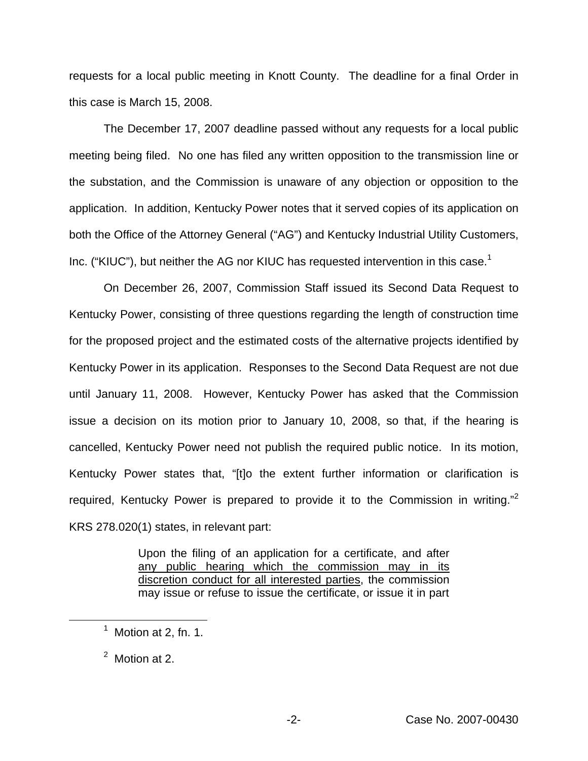requests for a local public meeting in Knott County. The deadline for a final Order in this case is March 15, 2008.

The December 17, 2007 deadline passed without any requests for a local public meeting being filed. No one has filed any written opposition to the transmission line or the substation, and the Commission is unaware of any objection or opposition to the application. In addition, Kentucky Power notes that it served copies of its application on both the Office of the Attorney General ("AG") and Kentucky Industrial Utility Customers, Inc. ("KIUC"), but neither the AG nor KIUC has requested intervention in this case.<sup>1</sup>

On December 26, 2007, Commission Staff issued its Second Data Request to Kentucky Power, consisting of three questions regarding the length of construction time for the proposed project and the estimated costs of the alternative projects identified by Kentucky Power in its application. Responses to the Second Data Request are not due until January 11, 2008. However, Kentucky Power has asked that the Commission issue a decision on its motion prior to January 10, 2008, so that, if the hearing is cancelled, Kentucky Power need not publish the required public notice. In its motion, Kentucky Power states that, "[t]o the extent further information or clarification is required, Kentucky Power is prepared to provide it to the Commission in writing."<sup>2</sup> KRS 278.020(1) states, in relevant part:

> Upon the filing of an application for a certificate, and after any public hearing which the commission may in its discretion conduct for all interested parties, the commission may issue or refuse to issue the certificate, or issue it in part

 $<sup>1</sup>$  Motion at 2, fn. 1.</sup>

<sup>2</sup> Motion at 2.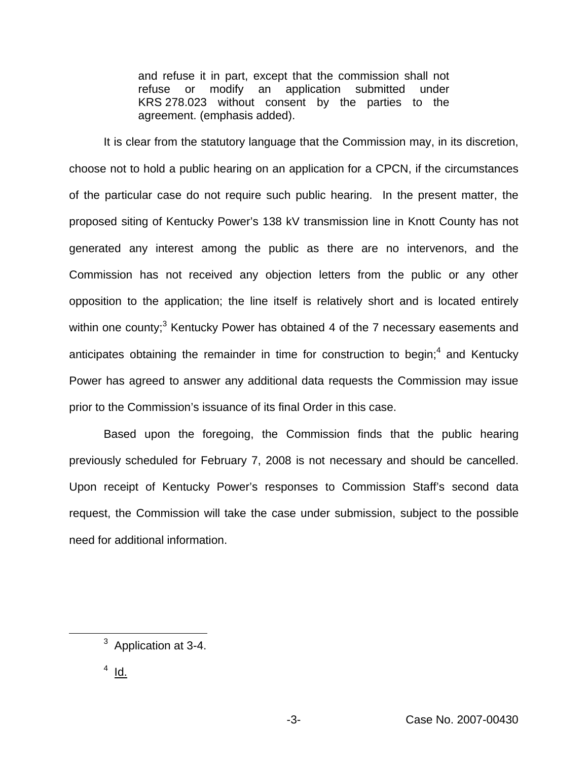and refuse it in part, except that the commission shall not refuse or modify an application submitted under KRS 278.023 without consent by the parties to the agreement. (emphasis added).

It is clear from the statutory language that the Commission may, in its discretion, choose not to hold a public hearing on an application for a CPCN, if the circumstances of the particular case do not require such public hearing. In the present matter, the proposed siting of Kentucky Power's 138 kV transmission line in Knott County has not generated any interest among the public as there are no intervenors, and the Commission has not received any objection letters from the public or any other opposition to the application; the line itself is relatively short and is located entirely within one county;<sup>3</sup> Kentucky Power has obtained 4 of the 7 necessary easements and anticipates obtaining the remainder in time for construction to begin;<sup>4</sup> and Kentucky Power has agreed to answer any additional data requests the Commission may issue prior to the Commission's issuance of its final Order in this case.

Based upon the foregoing, the Commission finds that the public hearing previously scheduled for February 7, 2008 is not necessary and should be cancelled. Upon receipt of Kentucky Power's responses to Commission Staff's second data request, the Commission will take the case under submission, subject to the possible need for additional information.

<sup>&</sup>lt;sup>3</sup> Application at 3-4.

 $4$  Id.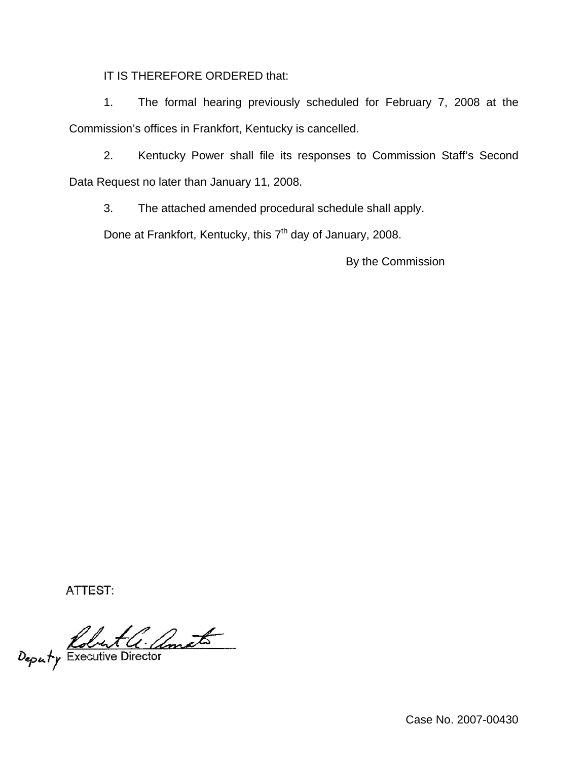IT IS THEREFORE ORDERED that:

1. The formal hearing previously scheduled for February 7, 2008 at the Commission's offices in Frankfort, Kentucky is cancelled.

2. Kentucky Power shall file its responses to Commission Staff's Second Data Request no later than January 11, 2008.

3. The attached amended procedural schedule shall apply.

Done at Frankfort, Kentucky, this  $7<sup>th</sup>$  day of January, 2008.

By the Commission

**ATTEST:** 

Deputy Executive Director